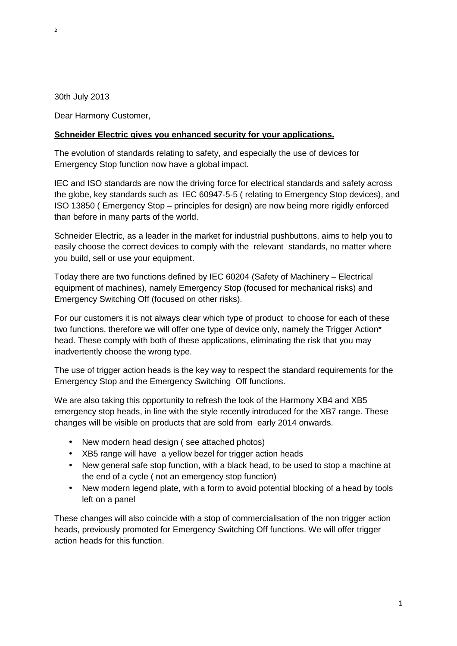$\overline{2}$ 

30th July 2013

Dear Harmony Customer,

### **Schneider Electric gives you enhanced security for your applications.**

The evolution of standards relating to safety, and especially the use of devices for Emergency Stop function now have a global impact.

IEC and ISO standards are now the driving force for electrical standards and safety across the globe, key standards such as IEC 60947-5-5 ( relating to Emergency Stop devices), and ISO 13850 ( Emergency Stop – principles for design) are now being more rigidly enforced than before in many parts of the world.

Schneider Electric, as a leader in the market for industrial pushbuttons, aims to help you to easily choose the correct devices to comply with the relevant standards, no matter where you build, sell or use your equipment.

Today there are two functions defined by IEC 60204 (Safety of Machinery – Electrical equipment of machines), namely Emergency Stop (focused for mechanical risks) and Emergency Switching Off (focused on other risks).

For our customers it is not always clear which type of product to choose for each of these two functions, therefore we will offer one type of device only, namely the Trigger Action\* head. These comply with both of these applications, eliminating the risk that you may inadvertently choose the wrong type.

The use of trigger action heads is the key way to respect the standard requirements for the Emergency Stop and the Emergency Switching Off functions.

We are also taking this opportunity to refresh the look of the Harmony XB4 and XB5 emergency stop heads, in line with the style recently introduced for the XB7 range. These changes will be visible on products that are sold from early 2014 onwards.

- New modern head design (see attached photos)
- XB5 range will have a yellow bezel for trigger action heads
- New general safe stop function, with a black head, to be used to stop a machine at the end of a cycle ( not an emergency stop function)
- New modern legend plate, with a form to avoid potential blocking of a head by tools left on a panel

These changes will also coincide with a stop of commercialisation of the non trigger action heads, previously promoted for Emergency Switching Off functions. We will offer trigger action heads for this function.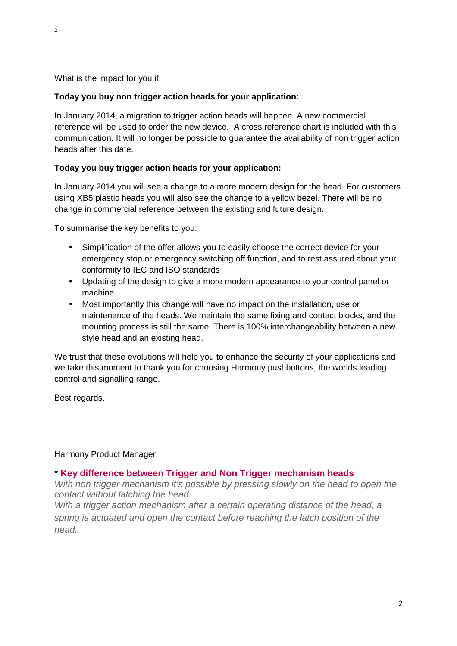$\overline{2}$ 

What is the impact for you if:

# **Today you buy non trigger action heads for your application:**

In January 2014, a migration to trigger action heads will happen. A new commercial reference will be used to order the new device. A cross reference chart is included with this communication. It will no longer be possible to guarantee the availability of non trigger action heads after this date.

# **Today you buy trigger action heads for your application:**

In January 2014 you will see a change to a more modern design for the head. For customers using XB5 plastic heads you will also see the change to a yellow bezel. There will be no change in commercial reference between the existing and future design.

To summarise the key benefits to you:

- Simplification of the offer allows you to easily choose the correct device for your emergency stop or emergency switching off function, and to rest assured about your conformity to IEC and ISO standards
- Updating of the design to give a more modern appearance to your control panel or machine
- Most importantly this change will have no impact on the installation, use or maintenance of the heads. We maintain the same fixing and contact blocks, and the mounting process is still the same. There is 100% interchangeability between a new style head and an existing head.

We trust that these evolutions will help you to enhance the security of your applications and we take this moment to thank you for choosing Harmony pushbuttons, the worlds leading control and signalling range.

Best regards,

# Harmony Product Manager

### \* **Key difference between Trigger and Non Trigger mechanism heads**

With non trigger mechanism it's possible by pressing slowly on the head to open the contact without latching the head.

With a trigger action mechanism after a certain operating distance of the head, a spring is actuated and open the contact before reaching the latch position of the head.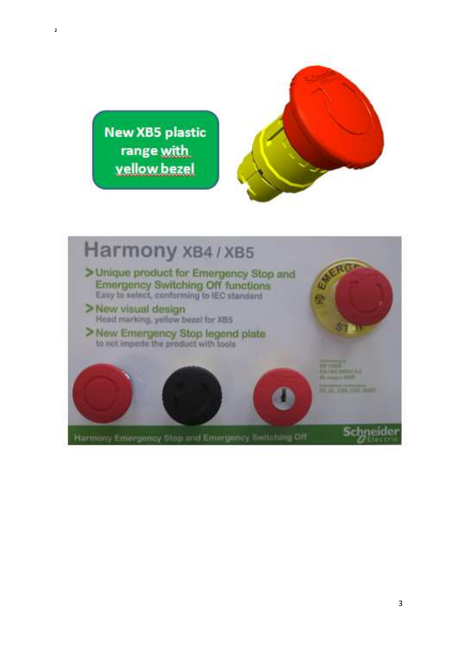

**New XB5 plastic** range with vellow bezel

 $\overline{2}$